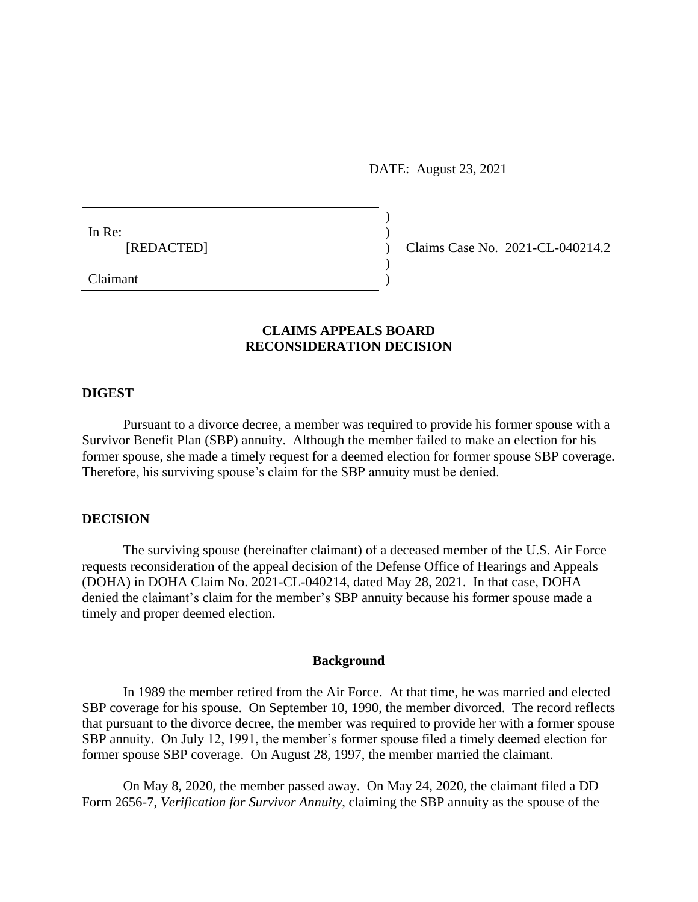DATE: August 23, 2021

)

 $\overline{)}$ 

In Re:  $\qquad \qquad$ )

[REDACTED] ) Claims Case No. 2021-CL-040214.2

Claimant )

# **CLAIMS APPEALS BOARD RECONSIDERATION DECISION**

### **DIGEST**

Pursuant to a divorce decree, a member was required to provide his former spouse with a Survivor Benefit Plan (SBP) annuity. Although the member failed to make an election for his former spouse, she made a timely request for a deemed election for former spouse SBP coverage. Therefore, his surviving spouse's claim for the SBP annuity must be denied.

### **DECISION**

The surviving spouse (hereinafter claimant) of a deceased member of the U.S. Air Force requests reconsideration of the appeal decision of the Defense Office of Hearings and Appeals (DOHA) in DOHA Claim No. 2021-CL-040214, dated May 28, 2021. In that case, DOHA denied the claimant's claim for the member's SBP annuity because his former spouse made a timely and proper deemed election.

#### **Background**

In 1989 the member retired from the Air Force. At that time, he was married and elected SBP coverage for his spouse. On September 10, 1990, the member divorced. The record reflects that pursuant to the divorce decree, the member was required to provide her with a former spouse SBP annuity. On July 12, 1991, the member's former spouse filed a timely deemed election for former spouse SBP coverage. On August 28, 1997, the member married the claimant.

On May 8, 2020, the member passed away. On May 24, 2020, the claimant filed a DD Form 2656-7, *Verification for Survivor Annuity*, claiming the SBP annuity as the spouse of the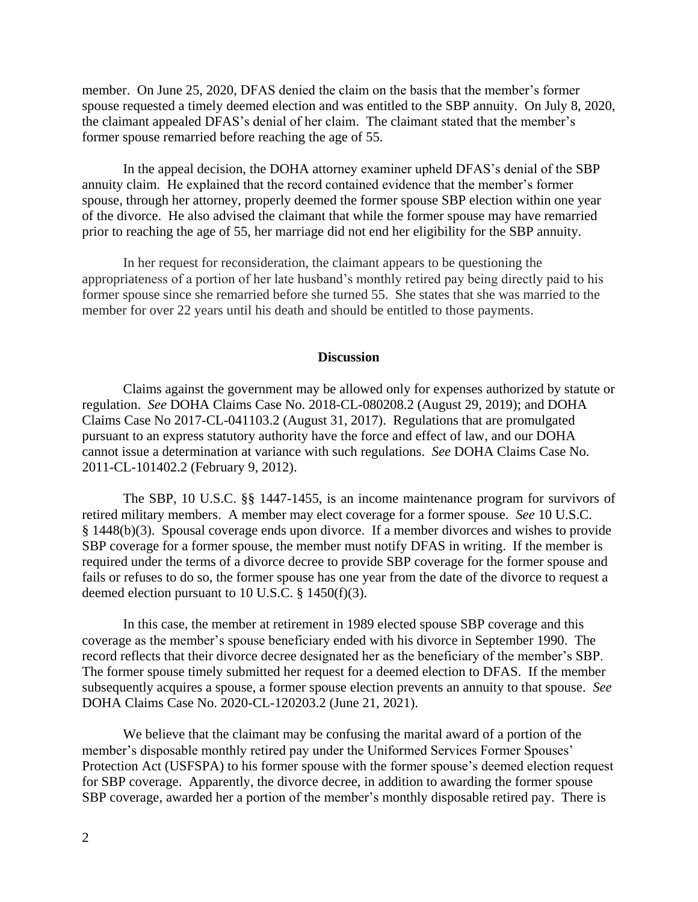member. On June 25, 2020, DFAS denied the claim on the basis that the member's former spouse requested a timely deemed election and was entitled to the SBP annuity. On July 8, 2020, the claimant appealed DFAS's denial of her claim. The claimant stated that the member's former spouse remarried before reaching the age of 55.

In the appeal decision, the DOHA attorney examiner upheld DFAS's denial of the SBP annuity claim. He explained that the record contained evidence that the member's former spouse, through her attorney, properly deemed the former spouse SBP election within one year of the divorce. He also advised the claimant that while the former spouse may have remarried prior to reaching the age of 55, her marriage did not end her eligibility for the SBP annuity.

In her request for reconsideration, the claimant appears to be questioning the appropriateness of a portion of her late husband's monthly retired pay being directly paid to his former spouse since she remarried before she turned 55. She states that she was married to the member for over 22 years until his death and should be entitled to those payments.

### **Discussion**

Claims against the government may be allowed only for expenses authorized by statute or regulation. *See* DOHA Claims Case No. 2018-CL-080208.2 (August 29, 2019); and DOHA Claims Case No 2017-CL-041103.2 (August 31, 2017). Regulations that are promulgated pursuant to an express statutory authority have the force and effect of law, and our DOHA cannot issue a determination at variance with such regulations. *See* DOHA Claims Case No. 2011-CL-101402.2 (February 9, 2012).

The SBP, 10 U.S.C. §§ 1447-1455, is an income maintenance program for survivors of retired military members. A member may elect coverage for a former spouse. *See* 10 U.S.C. § 1448(b)(3). Spousal coverage ends upon divorce. If a member divorces and wishes to provide SBP coverage for a former spouse, the member must notify DFAS in writing. If the member is required under the terms of a divorce decree to provide SBP coverage for the former spouse and fails or refuses to do so, the former spouse has one year from the date of the divorce to request a deemed election pursuant to 10 U.S.C. § 1450(f)(3).

In this case, the member at retirement in 1989 elected spouse SBP coverage and this coverage as the member's spouse beneficiary ended with his divorce in September 1990. The record reflects that their divorce decree designated her as the beneficiary of the member's SBP. The former spouse timely submitted her request for a deemed election to DFAS. If the member subsequently acquires a spouse, a former spouse election prevents an annuity to that spouse. *See*  DOHA Claims Case No. 2020-CL-120203.2 (June 21, 2021).

We believe that the claimant may be confusing the marital award of a portion of the member's disposable monthly retired pay under the Uniformed Services Former Spouses' Protection Act (USFSPA) to his former spouse with the former spouse's deemed election request for SBP coverage. Apparently, the divorce decree, in addition to awarding the former spouse SBP coverage, awarded her a portion of the member's monthly disposable retired pay. There is